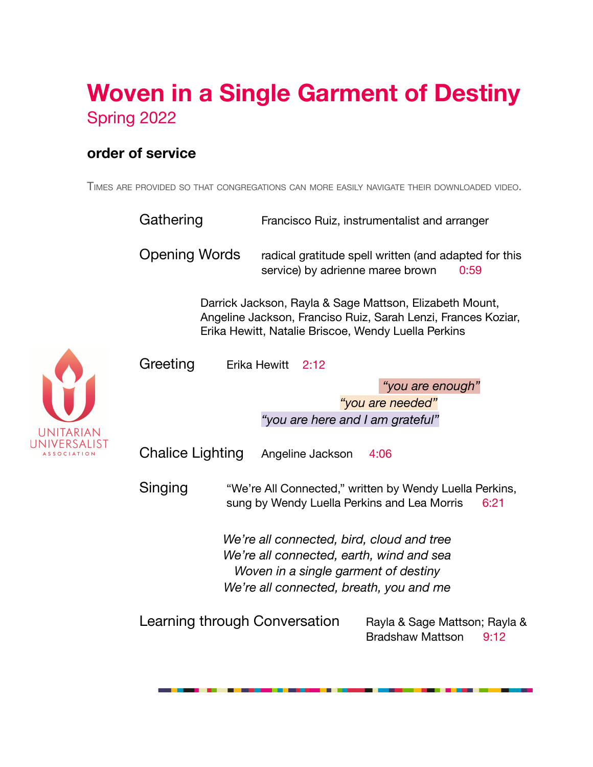# **Woven in a Single Garment of Destiny** Spring 2022

### **order of service**

TIMES ARE PROVIDED SO THAT CONGREGATIONS CAN MORE EASILY NAVIGATE THEIR DOWNLOADED VIDEO.

|           | Gathering                                                                                                                                                                       |                                  | Francisco Ruiz, instrumentalist and arranger                                                                   |  |  |
|-----------|---------------------------------------------------------------------------------------------------------------------------------------------------------------------------------|----------------------------------|----------------------------------------------------------------------------------------------------------------|--|--|
|           | <b>Opening Words</b>                                                                                                                                                            | service) by adrienne maree brown | radical gratitude spell written (and adapted for this<br>0:59                                                  |  |  |
|           | Darrick Jackson, Rayla & Sage Mattson, Elizabeth Mount,<br>Angeline Jackson, Franciso Ruiz, Sarah Lenzi, Frances Koziar,<br>Erika Hewitt, Natalie Briscoe, Wendy Luella Perkins |                                  |                                                                                                                |  |  |
|           | Greeting                                                                                                                                                                        | Erika Hewitt<br>2:12             |                                                                                                                |  |  |
|           |                                                                                                                                                                                 |                                  | "you are enough"                                                                                               |  |  |
|           |                                                                                                                                                                                 |                                  | "you are needed"                                                                                               |  |  |
| UNITARIAN |                                                                                                                                                                                 | "you are here and I am grateful" |                                                                                                                |  |  |
|           | <b>Chalice Lighting</b><br>Angeline Jackson<br>4:06                                                                                                                             |                                  |                                                                                                                |  |  |
|           | Singing                                                                                                                                                                         |                                  | "We're All Connected," written by Wendy Luella Perkins,<br>sung by Wendy Luella Perkins and Lea Morris<br>6:21 |  |  |
|           | We're all connected, bird, cloud and tree<br>We're all connected, earth, wind and sea<br>Woven in a single garment of destiny<br>We're all connected, breath, you and me        |                                  |                                                                                                                |  |  |
|           | Learning through Conversation                                                                                                                                                   |                                  | Rayla & Sage Mattson; Rayla &<br><b>Bradshaw Mattson</b><br>9:12                                               |  |  |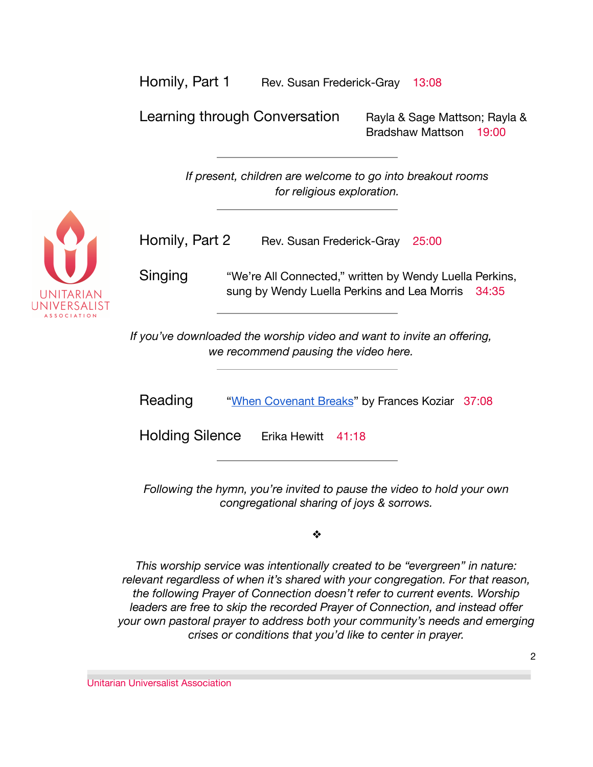| Homily, Part 1 | Rev. Susan Frederick-Gray 13:08 |  |
|----------------|---------------------------------|--|
|----------------|---------------------------------|--|

Learning through Conversation Rayla & Sage Mattson; Rayla & Bradshaw Mattson 19:00

> *If present, children are welcome to go into breakout rooms for religious exploration.*



| Homily, Part 2 | Rev. Susan Frederick-Gray 25:00 |  |  |
|----------------|---------------------------------|--|--|
|----------------|---------------------------------|--|--|

Singing "We're All Connected," written by Wendy Luella Perkins, sung by Wendy Luella Perkins and Lea Morris 34:35

*If you've downloaded the worship video and want to invite an offering, we recommend pausing the video here.*

Reading ["When Covenant Breaks](https://www.uua.org/worship/words/reading/when-covenant-breaks)" by Frances Koziar 37:08

Holding Silence Erika Hewitt 41:18

*Following the hymn, you're invited to pause the video to hold your own congregational sharing of joys & sorrows.*

❖

*This worship service was intentionally created to be "evergreen" in nature: relevant regardless of when it's shared with your congregation. For that reason, the following Prayer of Connection doesn't refer to current events. Worship leaders are free to skip the recorded Prayer of Connection, and instead offer your own pastoral prayer to address both your community's needs and emerging crises or conditions that you'd like to center in prayer.*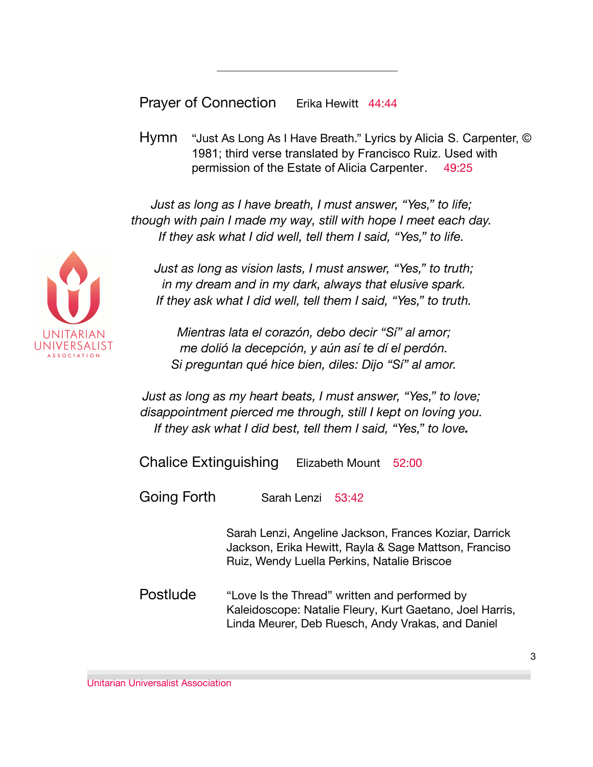Prayer of Connection Erika Hewitt 44:44

Hymn "Just As Long As I Have Breath." Lyrics by Alicia S. Carpenter, © 1981; third verse translated by Francisco Ruiz. Used with permission of the Estate of Alicia Carpenter. 49:25

*Just as long as I have breath, I must answer, "Yes," to life; though with pain I made my way, still with hope I meet each day. If they ask what I did well, tell them I said, "Yes," to life.*

*Just as long as vision lasts, I must answer, "Yes," to truth; in my dream and in my dark, always that elusive spark. If they ask what I did well, tell them I said, "Yes," to truth.*

*Mientras lata el corazón, debo decir "Sí" al amor; me dolió la decepción, y aún así te dí el perdón. Si preguntan qué hice bien, diles: Dijo "Sí" al amor.*

*Just as long as my heart beats, I must answer, "Yes," to love; disappointment pierced me through, still I kept on loving you. If they ask what I did best, tell them I said, "Yes," to love.*

Chalice Extinguishing Elizabeth Mount 52:00

Going Forth Sarah Lenzi 53:42

Sarah Lenzi, Angeline Jackson, Frances Koziar, Darrick Jackson, Erika Hewitt, Rayla & Sage Mattson, Franciso Ruiz, Wendy Luella Perkins, Natalie Briscoe

Postlude "Love Is the Thread" written and performed by Kaleidoscope: Natalie Fleury, Kurt Gaetano, Joel Harris, Linda Meurer, Deb Ruesch, Andy Vrakas, and Daniel

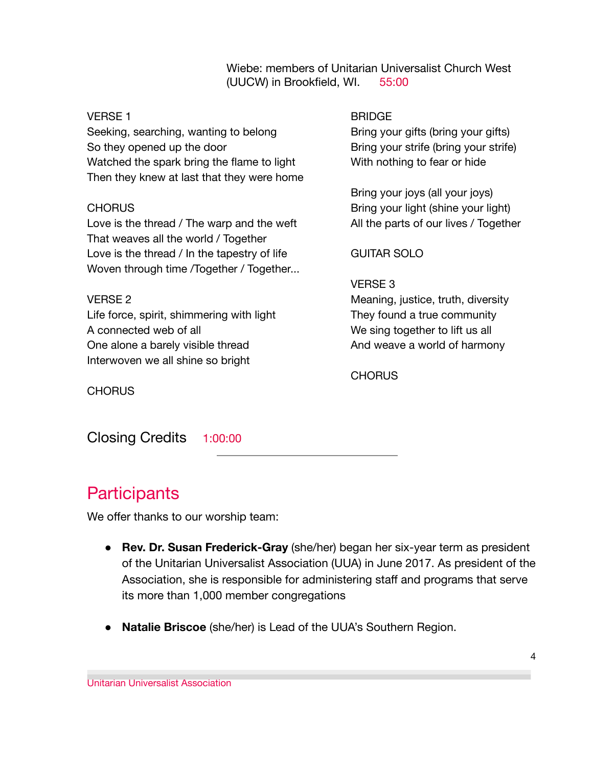Wiebe: members of Unitarian Universalist Church West (UUCW) in Brookfield, WI. 55:00

#### VERSE 1

Seeking, searching, wanting to belong So they opened up the door Watched the spark bring the flame to light Then they knew at last that they were home

#### CHORUS

Love is the thread / The warp and the weft That weaves all the world / Together Love is the thread / In the tapestry of life Woven through time /Together / Together...

#### VERSE 2

Life force, spirit, shimmering with light A connected web of all One alone a barely visible thread Interwoven we all shine so bright

#### BRIDGE

Bring your gifts (bring your gifts) Bring your strife (bring your strife) With nothing to fear or hide

Bring your joys (all your joys) Bring your light (shine your light) All the parts of our lives / Together

#### GUITAR SOLO

#### VERSE 3

Meaning, justice, truth, diversity They found a true community We sing together to lift us all And weave a world of harmony

CHORUS

**CHORUS** 

Closing Credits 1:00:00

### **Participants**

We offer thanks to our worship team:

- **Rev. Dr. Susan Frederick-Gray** (she/her) began her six-year term as president of the Unitarian Universalist Association (UUA) in June 2017. As president of the Association, she is responsible for administering staff and programs that serve its more than 1,000 member congregations
- **Natalie Briscoe** (she/her) is Lead of the UUA's Southern Region.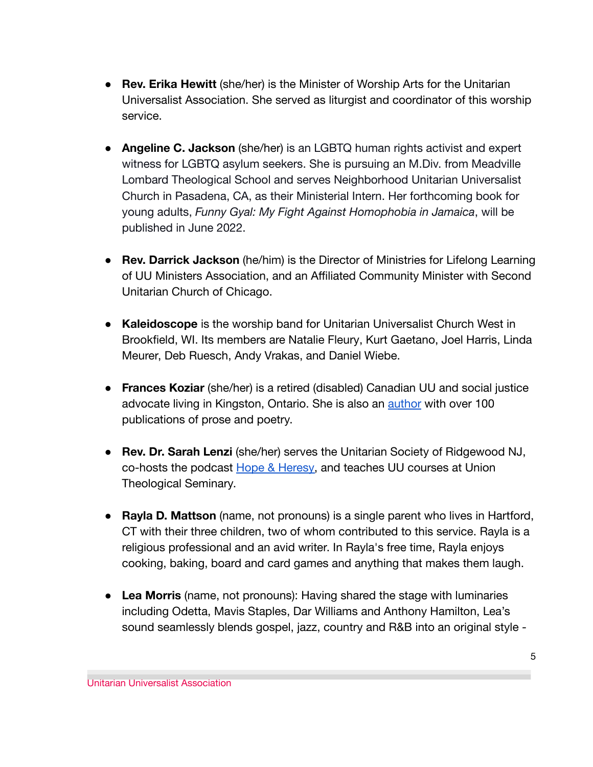- **Rev. Erika Hewitt** (she/her) is the Minister of Worship Arts for the Unitarian Universalist Association. She served as liturgist and coordinator of this worship service.
- **Angeline C. Jackson** (she/her) is an LGBTQ human rights activist and expert witness for LGBTQ asylum seekers. She is pursuing an M.Div. from Meadville Lombard Theological School and serves Neighborhood Unitarian Universalist Church in Pasadena, CA, as their Ministerial Intern. Her forthcoming book for young adults, *Funny Gyal: My Fight Against Homophobia in Jamaica*, will be published in June 2022.
- **Rev. Darrick Jackson** (he/him) is the Director of Ministries for Lifelong Learning of UU Ministers Association, and an Affiliated Community Minister with Second Unitarian Church of Chicago.
- **Kaleidoscope** is the worship band for Unitarian Universalist Church West in Brookfield, WI. Its members are Natalie Fleury, Kurt Gaetano, Joel Harris, Linda Meurer, Deb Ruesch, Andy Vrakas, and Daniel Wiebe.
- **Frances Koziar** (she/her) is a retired (disabled) Canadian UU and social justice advocate living in Kingston, Ontario. She is also an [author](https://franceskoziar.wixsite.com/author) with over 100 publications of prose and poetry.
- **Rev. Dr. Sarah Lenzi** (she/her) serves the Unitarian Society of Ridgewood NJ, co-hosts the podcast [Hope & Heresy,](https://hopeandheresy.transistor.fm/) and teaches UU courses at Union Theological Seminary.
- **Rayla D. Mattson** (name, not pronouns) is a single parent who lives in Hartford, CT with their three children, two of whom contributed to this service. Rayla is a religious professional and an avid writer. In Rayla's free time, Rayla enjoys cooking, baking, board and card games and anything that makes them laugh.
- **Lea Morris** (name, not pronouns): Having shared the stage with luminaries including Odetta, Mavis Staples, Dar Williams and Anthony Hamilton, Lea's sound seamlessly blends gospel, jazz, country and R&B into an original style -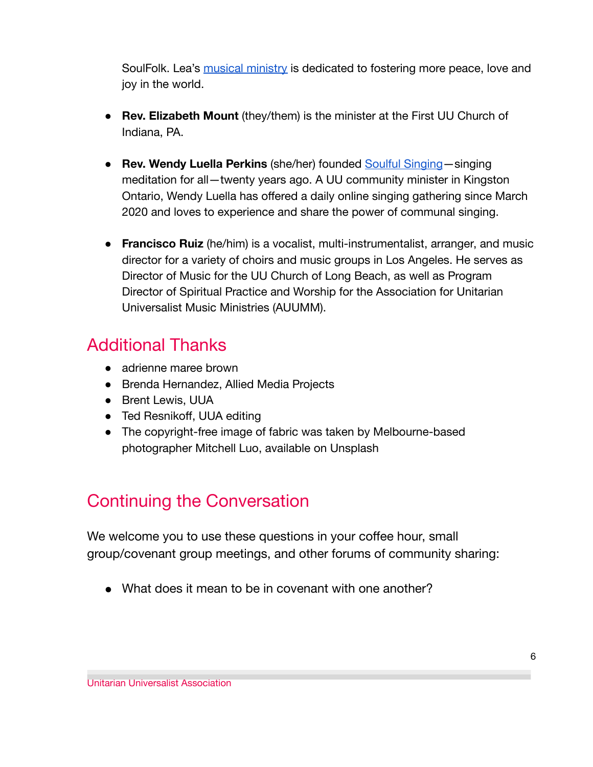SoulFolk. Lea's [musical ministry](https://www.thisislea.com/) is dedicated to fostering more peace, love and joy in the world.

- **Rev. Elizabeth Mount** (they/them) is the minister at the First UU Church of Indiana, PA.
- **Rev. Wendy Luella Perkins** (she/her) founded Soulful [Singing](http://www.wendyluellaperkins.com/)—singing meditation for all—twenty years ago. A UU community minister in Kingston Ontario, Wendy Luella has offered a daily online singing gathering since March 2020 and loves to experience and share the power of communal singing.
- **Francisco Ruiz** (he/him) is a vocalist, multi-instrumentalist, arranger, and music director for a variety of choirs and music groups in Los Angeles. He serves as Director of Music for the UU Church of Long Beach, as well as Program Director of Spiritual Practice and Worship for the Association for Unitarian Universalist Music Ministries (AUUMM).

### Additional Thanks

- adrienne maree brown
- Brenda Hernandez, Allied Media Projects
- Brent Lewis, UUA
- Ted Resnikoff, UUA editing
- The copyright-free image of fabric was taken by Melbourne-based photographer Mitchell Luo, available on Unsplash

## Continuing the Conversation

We welcome you to use these questions in your coffee hour, small group/covenant group meetings, and other forums of community sharing:

• What does it mean to be in covenant with one another?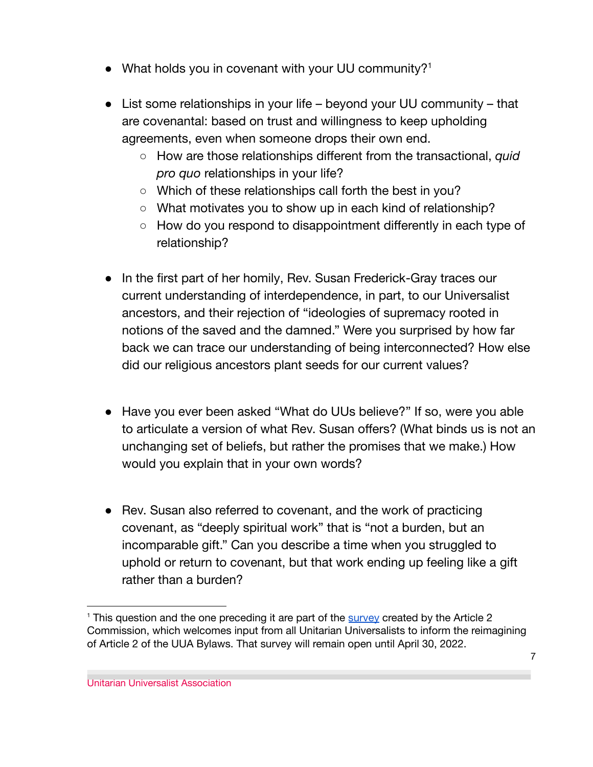- What holds you in covenant with your UU community?<sup>1</sup>
- List some relationships in your life beyond your UU community that are covenantal: based on trust and willingness to keep upholding agreements, even when someone drops their own end.
	- How are those relationships different from the transactional, *quid pro quo* relationships in your life?
	- Which of these relationships call forth the best in you?
	- What motivates you to show up in each kind of relationship?
	- How do you respond to disappointment differently in each type of relationship?
- In the first part of her homily, Rev. Susan Frederick-Gray traces our current understanding of interdependence, in part, to our Universalist ancestors, and their rejection of "ideologies of supremacy rooted in notions of the saved and the damned." Were you surprised by how far back we can trace our understanding of being interconnected? How else did our religious ancestors plant seeds for our current values?
- Have you ever been asked "What do UUs believe?" If so, were you able to articulate a version of what Rev. Susan offers? (What binds us is not an unchanging set of beliefs, but rather the promises that we make.) How would you explain that in your own words?
- Rev. Susan also referred to covenant, and the work of practicing covenant, as "deeply spiritual work" that is "not a burden, but an incomparable gift." Can you describe a time when you struggled to uphold or return to covenant, but that work ending up feeling like a gift rather than a burden?

<sup>&</sup>lt;sup>1</sup> This question and the one preceding it are part of the [survey](https://l.facebook.com/l.php?u=https%3A%2F%2Fforms.gle%2F1N6CQCwACoxfWFhc7%3Ffbclid%3DIwAR1PmiXJogFul2o0vRCfuAIPDnT2cb70KP6Hhau4G2b0UaokXncFWdtnG_0&h=AT2xeEj3bngGFkBpQdeZjgDkq97HCbQUnnz0kyDVtz2DzP8ZAZ0chh5eAD0FXj57dU-KoA1naAo69M6PxIp1G8PaByi2ExbMxAQlvILshU-FJUKTJnB5fNmBCnvdglvKUhK1WCc-k75TI-uI7Kbzjc1H) created by the Article 2 Commission, which welcomes input from all Unitarian Universalists to inform the reimagining of Article 2 of the UUA Bylaws. That survey will remain open until April 30, 2022.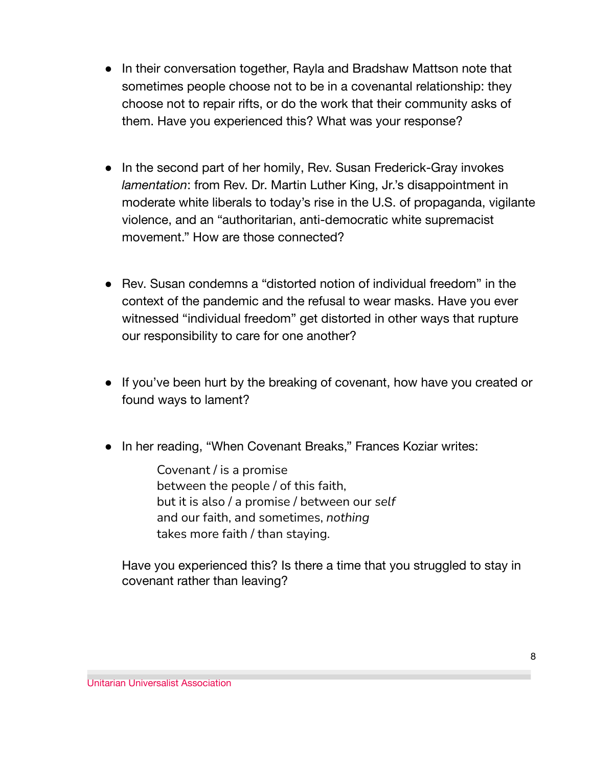- In their conversation together, Rayla and Bradshaw Mattson note that sometimes people choose not to be in a covenantal relationship: they choose not to repair rifts, or do the work that their community asks of them. Have you experienced this? What was your response?
- In the second part of her homily, Rev. Susan Frederick-Gray invokes *lamentation*: from Rev. Dr. Martin Luther King, Jr.'s disappointment in moderate white liberals to today's rise in the U.S. of propaganda, vigilante violence, and an "authoritarian, anti-democratic white supremacist movement." How are those connected?
- Rev. Susan condemns a "distorted notion of individual freedom" in the context of the pandemic and the refusal to wear masks. Have you ever witnessed "individual freedom" get distorted in other ways that rupture our responsibility to care for one another?
- If you've been hurt by the breaking of covenant, how have you created or found ways to lament?
- In her reading, "When Covenant Breaks," Frances Koziar writes:

Covenant / is a promise between the people / of this faith, but it is also / a promise / between our *self* and our faith, and sometimes, *nothing* takes more faith / than staying.

Have you experienced this? Is there a time that you struggled to stay in covenant rather than leaving?